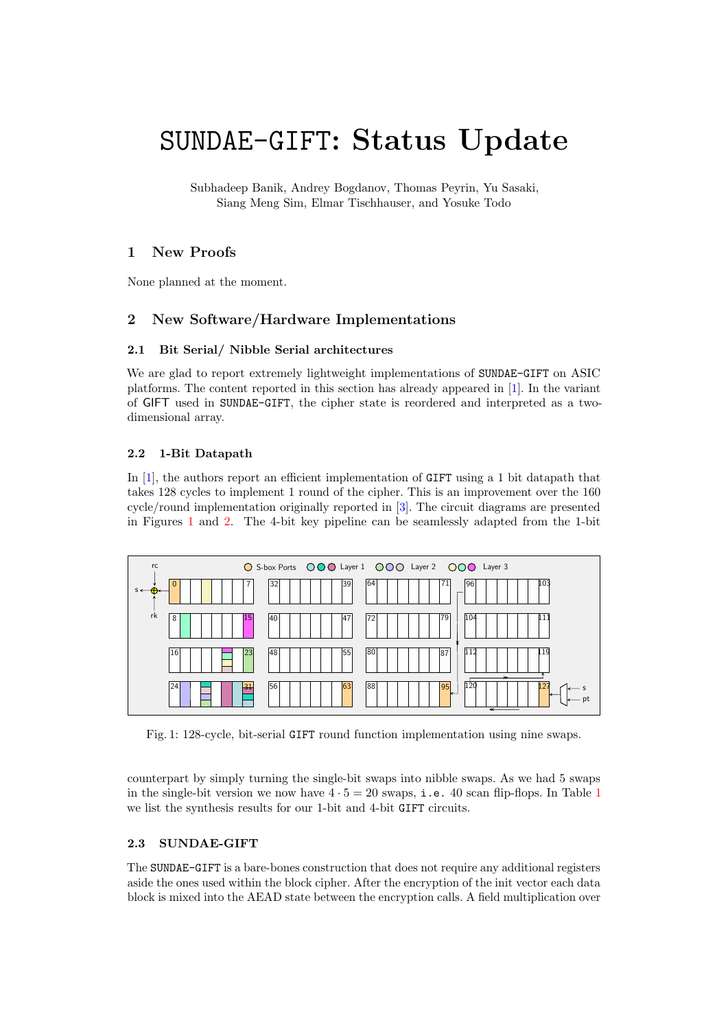# SUNDAE-GIFT: Status Update

Subhadeep Banik, Andrey Bogdanov, Thomas Peyrin, Yu Sasaki, Siang Meng Sim, Elmar Tischhauser, and Yosuke Todo

# 1 New Proofs

None planned at the moment.

# 2 New Software/Hardware Implementations

#### 2.1 Bit Serial/ Nibble Serial architectures

We are glad to report extremely lightweight implementations of SUNDAE-GIFT on ASIC platforms. The content reported in this section has already appeared in [\[1\]](#page-6-0). In the variant of GIFT used in SUNDAE-GIFT, the cipher state is reordered and interpreted as a twodimensional array.

#### 2.2 1-Bit Datapath

In [\[1\]](#page-6-0), the authors report an efficient implementation of GIFT using a 1 bit datapath that takes 128 cycles to implement 1 round of the cipher. This is an improvement over the 160 cycle/round implementation originally reported in [\[3\]](#page-6-1). The circuit diagrams are presented in Figures [1](#page-0-0) and [2.](#page-1-0) The 4-bit key pipeline can be seamlessly adapted from the 1-bit

<span id="page-0-0"></span>

Fig. 1: 128-cycle, bit-serial GIFT round function implementation using nine swaps.

counterpart by simply turning the single-bit swaps into nibble swaps. As we had 5 swaps in the single-bit version we now have  $4 \cdot 5 = 20$  swaps, i.e. 40 scan flip-flops. In Table [1](#page-1-1) we list the synthesis results for our 1-bit and 4-bit GIFT circuits.

#### 2.3 SUNDAE-GIFT

The SUNDAE-GIFT is a bare-bones construction that does not require any additional registers aside the ones used within the block cipher. After the encryption of the init vector each data block is mixed into the AEAD state between the encryption calls. A field multiplication over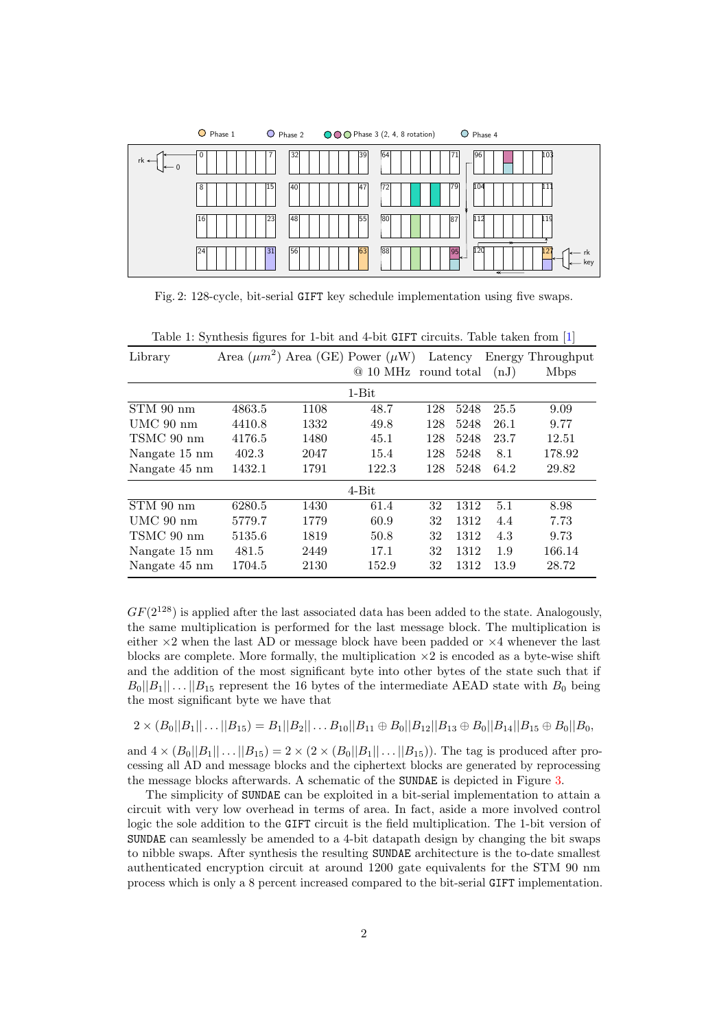<span id="page-1-0"></span>

Fig. 2: 128-cycle, bit-serial GIFT key schedule implementation using five swaps.

| Library       |        |      | Area $(\mu m^2)$ Area (GE) Power $(\mu W)$ Latency |     |      |      | Energy Throughput |
|---------------|--------|------|----------------------------------------------------|-----|------|------|-------------------|
|               |        |      | @ 10 MHz round total                               |     |      | (nJ) | <b>M</b> bps      |
|               |        |      | $1-Bit$                                            |     |      |      |                   |
| STM 90 nm     | 4863.5 | 1108 | 48.7                                               | 128 | 5248 | 25.5 | 9.09              |
| $UMC$ 90 nm   | 4410.8 | 1332 | 49.8                                               | 128 | 5248 | 26.1 | 9.77              |
| TSMC 90 nm    | 4176.5 | 1480 | 45.1                                               | 128 | 5248 | 23.7 | 12.51             |
| Nangate 15 nm | 402.3  | 2047 | 15.4                                               | 128 | 5248 | 8.1  | 178.92            |
| Nangate 45 nm | 1432.1 | 1791 | 122.3                                              | 128 | 5248 | 64.2 | 29.82             |
|               |        |      | $4-Bit$                                            |     |      |      |                   |
| $STM$ 90 nm   | 6280.5 | 1430 | 61.4                                               | 32  | 1312 | 5.1  | 8.98              |
| $UMC$ 90 nm   | 5779.7 | 1779 | 60.9                                               | 32  | 1312 | 4.4  | 7.73              |
| TSMC 90 nm    | 5135.6 | 1819 | 50.8                                               | 32  | 1312 | 4.3  | 9.73              |
| Nangate 15 nm | 481.5  | 2449 | 17.1                                               | 32  | 1312 | 1.9  | 166.14            |
| Nangate 45 nm | 1704.5 | 2130 | 152.9                                              | 32  | 1312 | 13.9 | 28.72             |

<span id="page-1-1"></span>

|  |  |  |  | Table 1: Synthesis figures for 1-bit and 4-bit GIFT circuits. Table taken from [1] |  |  |
|--|--|--|--|------------------------------------------------------------------------------------|--|--|
|  |  |  |  |                                                                                    |  |  |

 $GF(2^{128})$  is applied after the last associated data has been added to the state. Analogously, the same multiplication is performed for the last message block. The multiplication is either  $\times 2$  when the last AD or message block have been padded or  $\times 4$  whenever the last blocks are complete. More formally, the multiplication  $\times 2$  is encoded as a byte-wise shift and the addition of the most significant byte into other bytes of the state such that if  $B_0||B_1|| \dots ||B_{15}$  represent the 16 bytes of the intermediate AEAD state with  $B_0$  being the most significant byte we have that

$$
2 \times (B_0||B_1||...||B_{15}) = B_1||B_2||...B_{10}||B_{11} \oplus B_0||B_{12}||B_{13} \oplus B_0||B_{14}||B_{15} \oplus B_0||B_0,
$$

and  $4 \times (B_0||B_1|| \dots ||B_{15}) = 2 \times (2 \times (B_0||B_1|| \dots ||B_{15}))$ . The tag is produced after processing all AD and message blocks and the ciphertext blocks are generated by reprocessing the message blocks afterwards. A schematic of the SUNDAE is depicted in Figure [3.](#page-2-0)

The simplicity of SUNDAE can be exploited in a bit-serial implementation to attain a circuit with very low overhead in terms of area. In fact, aside a more involved control logic the sole addition to the GIFT circuit is the field multiplication. The 1-bit version of SUNDAE can seamlessly be amended to a 4-bit datapath design by changing the bit swaps to nibble swaps. After synthesis the resulting SUNDAE architecture is the to-date smallest authenticated encryption circuit at around 1200 gate equivalents for the STM 90 nm process which is only a 8 percent increased compared to the bit-serial GIFT implementation.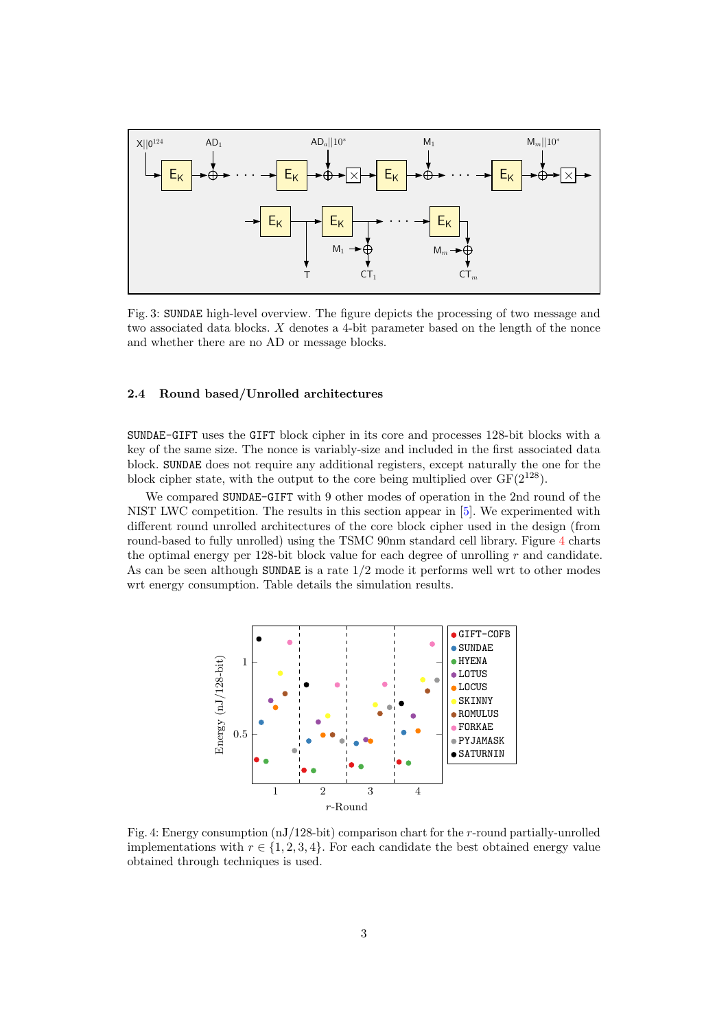<span id="page-2-0"></span>

Fig. 3: SUNDAE high-level overview. The figure depicts the processing of two message and two associated data blocks. X denotes a 4-bit parameter based on the length of the nonce and whether there are no AD or message blocks.

#### 2.4 Round based/Unrolled architectures

SUNDAE-GIFT uses the GIFT block cipher in its core and processes 128-bit blocks with a key of the same size. The nonce is variably-size and included in the first associated data block. SUNDAE does not require any additional registers, except naturally the one for the block cipher state, with the output to the core being multiplied over  $GF(2^{128})$ .

We compared SUNDAE-GIFT with 9 other modes of operation in the 2nd round of the NIST LWC competition. The results in this section appear in [\[5\]](#page-7-0). We experimented with different round unrolled architectures of the core block cipher used in the design (from round-based to fully unrolled) using the TSMC 90nm standard cell library. Figure [4](#page-2-1) charts the optimal energy per 128-bit block value for each degree of unrolling r and candidate. As can be seen although SUNDAE is a rate 1/2 mode it performs well wrt to other modes wrt energy consumption. Table details the simulation results.

<span id="page-2-1"></span>

Fig. 4: Energy consumption (nJ/128-bit) comparison chart for the r-round partially-unrolled implementations with  $r \in \{1, 2, 3, 4\}$ . For each candidate the best obtained energy value obtained through techniques is used.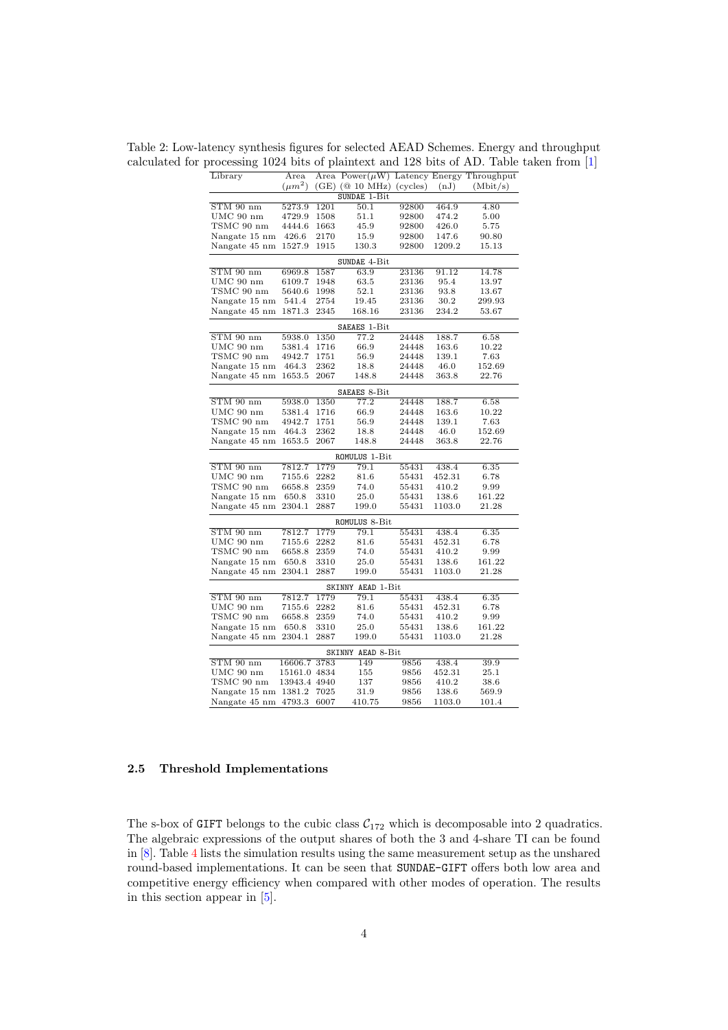Table 2: Low-latency synthesis figures for selected AEAD Schemes. Energy and throughput calculated for processing 1024 bits of plaintext and 128 bits of AD. Table taken from [\[1\]](#page-6-0)

| Library       | Area         |      | Area $Power(\mu W)$ Latency Energy Throughput |       |        |                   |  |  |  |  |
|---------------|--------------|------|-----------------------------------------------|-------|--------|-------------------|--|--|--|--|
|               | $(\mu m^2)$  |      | $(GE)$ ( $@10$ MHz) (cycles)                  |       | (nJ)   | (Mbit/s)          |  |  |  |  |
|               |              |      | SUNDAE 1-Bit                                  |       |        |                   |  |  |  |  |
| $STM$ 90 nm   | 5273.9       | 1201 | 50.1                                          | 92800 | 464.9  | $\overline{4.80}$ |  |  |  |  |
| UMC 90 nm     | 4729.9       | 1508 | 51.1                                          | 92800 | 474.2  | 5.00              |  |  |  |  |
| TSMC 90 nm    | 4444.6       | 1663 | 45.9                                          | 92800 | 426.0  | 5.75              |  |  |  |  |
| Nangate 15 nm | 426.6        | 2170 | 15.9                                          | 92800 | 147.6  | 90.80             |  |  |  |  |
| Nangate 45 nm | 1527.9       | 1915 | 130.3                                         | 92800 | 1209.2 | 15.13             |  |  |  |  |
| SUNDAE 4-Bit  |              |      |                                               |       |        |                   |  |  |  |  |
| $STM$ 90 nm   | 6969.8       | 1587 | 63.9                                          | 23136 | 91.12  | 14.78             |  |  |  |  |
| UMC 90 nm     | 6109.7       | 1948 | 63.5                                          | 23136 | 95.4   | 13.97             |  |  |  |  |
| TSMC 90 nm    | 5640.6       | 1998 | 52.1                                          | 23136 | 93.8   | 13.67             |  |  |  |  |
| Nangate 15 nm | 541.4        | 2754 | 19.45                                         | 23136 | 30.2   | 299.93            |  |  |  |  |
| Nangate 45 nm | 1871.3       | 2345 | 168.16                                        | 23136 | 234.2  | 53.67             |  |  |  |  |
|               |              |      | SAEAES 1-Bit                                  |       |        |                   |  |  |  |  |
| $STM$ 90 nm   | 5938.0       | 1350 | 77.2                                          | 24448 | 188.7  | 6.58              |  |  |  |  |
| UMC 90 nm     | 5381.4       | 1716 | 66.9                                          | 24448 | 163.6  | 10.22             |  |  |  |  |
| TSMC 90 nm    | 4942.7       | 1751 | 56.9                                          | 24448 | 139.1  | 7.63              |  |  |  |  |
| Nangate 15 nm | 464.3        | 2362 | 18.8                                          | 24448 | 46.0   | 152.69            |  |  |  |  |
| Nangate 45 nm | 1653.5       | 2067 | 148.8                                         | 24448 | 363.8  | 22.76             |  |  |  |  |
|               |              |      | SAEAES 8-Bit                                  |       |        |                   |  |  |  |  |
| $STM$ 90 nm   | 5938.0       | 1350 | 77.2                                          | 24448 | 188.7  | 6.58              |  |  |  |  |
| $UMC$ 90 nm   | 5381.4       | 1716 | 66.9                                          | 24448 | 163.6  | 10.22             |  |  |  |  |
| TSMC 90 nm    | 4942.7       | 1751 | 56.9                                          | 24448 | 139.1  | 7.63              |  |  |  |  |
| Nangate 15 nm | 464.3        | 2362 | 18.8                                          | 24448 | 46.0   | 152.69            |  |  |  |  |
| Nangate 45 nm | 1653.5       | 2067 | 148.8                                         | 24448 | 363.8  | 22.76             |  |  |  |  |
|               |              |      | ROMULUS 1-Bit                                 |       |        |                   |  |  |  |  |
| $STM$ 90 nm   | 7812.7       | 1779 | 79.1                                          | 55431 | 438.4  | 6.35              |  |  |  |  |
| $UMC$ 90 nm   | 7155.6       | 2282 | 81.6                                          | 55431 | 452.31 | 6.78              |  |  |  |  |
| TSMC 90 nm    | 6658.8       | 2359 | 74.0                                          | 55431 | 410.2  | 9.99              |  |  |  |  |
| Nangate 15 nm | 650.8        | 3310 | 25.0                                          | 55431 | 138.6  | 161.22            |  |  |  |  |
| Nangate 45 nm | 2304.1       | 2887 | 199.0                                         | 55431 | 1103.0 | 21.28             |  |  |  |  |
|               |              |      | ROMULUS 8-Bit                                 |       |        |                   |  |  |  |  |
| $STM$ 90 nm   | 7812.7       | 1779 | 79.1                                          | 55431 | 438.4  | 6.35              |  |  |  |  |
| UMC 90 nm     | 7155.6       | 2282 | 81.6                                          | 55431 | 452.31 | 6.78              |  |  |  |  |
| TSMC 90 nm    | 6658.8       | 2359 | 74.0                                          | 55431 | 410.2  | 9.99              |  |  |  |  |
| Nangate 15 nm | 650.8        | 3310 | 25.0                                          | 55431 | 138.6  | 161.22            |  |  |  |  |
| Nangate 45 nm | 2304.1       | 2887 | 199.0                                         | 55431 | 1103.0 | 21.28             |  |  |  |  |
|               |              |      | SKINNY AEAD 1-Bit                             |       |        |                   |  |  |  |  |
| $STM$ 90 nm   | 7812.7       | 1779 | 79.1                                          | 55431 | 438.4  | 6.35              |  |  |  |  |
| $UMC$ 90 nm   | 7155.6       | 2282 | 81.6                                          | 55431 | 452.31 | 6.78              |  |  |  |  |
| TSMC 90 nm    | 6658.8       | 2359 | 74.0                                          | 55431 | 410.2  | 9.99              |  |  |  |  |
| Nangate 15 nm | 650.8        | 3310 | $25.0\,$                                      | 55431 | 138.6  | 161.22            |  |  |  |  |
| Nangate 45 nm | 2304.1       | 2887 | 199.0                                         | 55431 | 1103.0 | 21.28             |  |  |  |  |
|               |              |      | SKINNY AEAD 8-Bit                             |       |        |                   |  |  |  |  |
| $STM$ 90 nm   | 16606.7      | 3783 | 149                                           | 9856  | 438.4  | 39.9              |  |  |  |  |
| UMC 90 nm     | 15161.0 4834 |      | 155                                           | 9856  | 452.31 | 25.1              |  |  |  |  |
| TSMC 90 nm    | 13943.4 4940 |      | 137                                           | 9856  | 410.2  | 38.6              |  |  |  |  |
| Nangate 15 nm | 1381.2       | 7025 | 31.9                                          | 9856  | 138.6  | 569.9             |  |  |  |  |
| Nangate 45 nm | 4793.3       | 6007 | 410.75                                        | 9856  | 1103.0 | 101.4             |  |  |  |  |

#### 2.5 Threshold Implementations

The s-box of GIFT belongs to the cubic class  $C_{172}$  which is decomposable into 2 quadratics. The algebraic expressions of the output shares of both the 3 and 4-share TI can be found in [\[8\]](#page-7-1). Table [4](#page-5-0) lists the simulation results using the same measurement setup as the unshared round-based implementations. It can be seen that SUNDAE-GIFT offers both low area and competitive energy efficiency when compared with other modes of operation. The results in this section appear in [\[5\]](#page-7-0).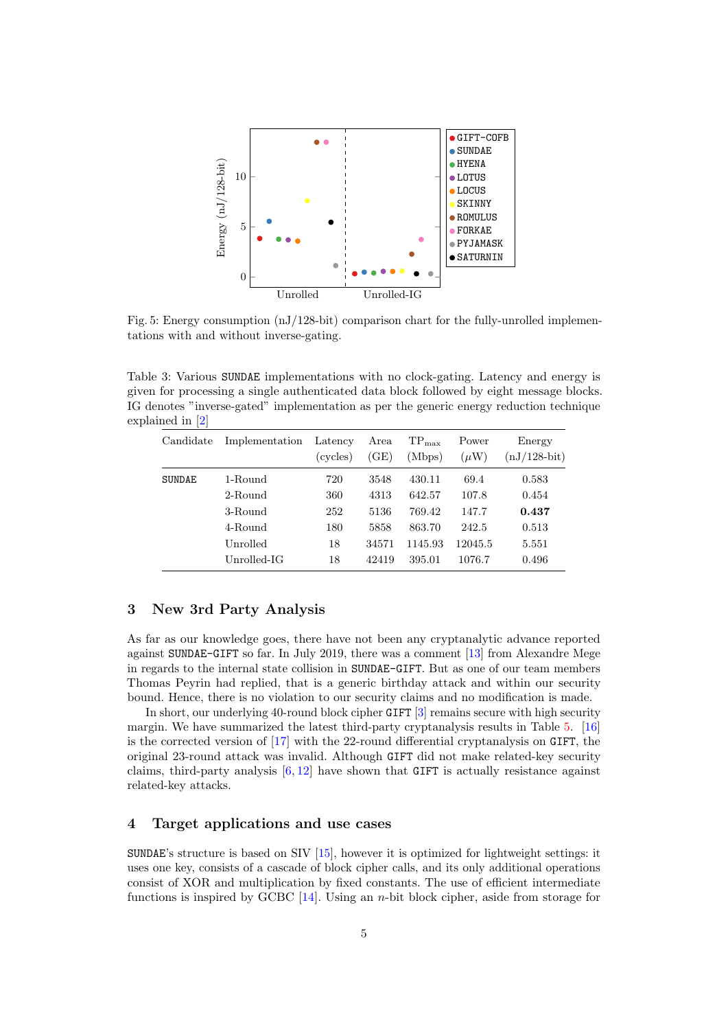

Fig. 5: Energy consumption (nJ/128-bit) comparison chart for the fully-unrolled implementations with and without inverse-gating.

Table 3: Various SUNDAE implementations with no clock-gating. Latency and energy is given for processing a single authenticated data block followed by eight message blocks. IG denotes "inverse-gated" implementation as per the generic energy reduction technique explained in [\[2\]](#page-6-2)

| Candidate     | Implementation | Latency<br>(cycles) | Area<br>(GE) | $TP_{\text{max}}$<br>(Mbps) | Power<br>$(\mu W)$ | Energy<br>$(nJ/128-bit)$ |
|---------------|----------------|---------------------|--------------|-----------------------------|--------------------|--------------------------|
| <b>SUNDAE</b> | 1-Round        | 720                 | 3548         | 430.11                      | 69.4               | 0.583                    |
|               | 2-Round        | 360                 | 4313         | 642.57                      | 107.8              | 0.454                    |
|               | 3-Round        | 252                 | 5136         | 769.42                      | 147.7              | 0.437                    |
|               | 4-Round        | 180                 | 5858         | 863.70                      | 242.5              | 0.513                    |
|               | Unrolled       | 18                  | 34571        | 1145.93                     | 12045.5            | 5.551                    |
|               | $Unrolled-IG$  | 18                  | 42419        | 395.01                      | 1076.7             | 0.496                    |

#### 3 New 3rd Party Analysis

As far as our knowledge goes, there have not been any cryptanalytic advance reported against SUNDAE-GIFT so far. In July 2019, there was a comment [\[13\]](#page-7-2) from Alexandre Mege in regards to the internal state collision in SUNDAE-GIFT. But as one of our team members Thomas Peyrin had replied, that is a generic birthday attack and within our security bound. Hence, there is no violation to our security claims and no modification is made.

In short, our underlying 40-round block cipher GIFT [\[3\]](#page-6-1) remains secure with high security margin. We have summarized the latest third-party cryptanalysis results in Table [5.](#page-6-3) [\[16\]](#page-7-3) is the corrected version of [\[17\]](#page-7-4) with the 22-round differential cryptanalysis on GIFT, the original 23-round attack was invalid. Although GIFT did not make related-key security claims, third-party analysis  $[6, 12]$  $[6, 12]$  $[6, 12]$  have shown that GIFT is actually resistance against related-key attacks.

## 4 Target applications and use cases

SUNDAE's structure is based on SIV [\[15\]](#page-7-7), however it is optimized for lightweight settings: it uses one key, consists of a cascade of block cipher calls, and its only additional operations consist of XOR and multiplication by fixed constants. The use of efficient intermediate functions is inspired by GCBC [\[14\]](#page-7-8). Using an n-bit block cipher, aside from storage for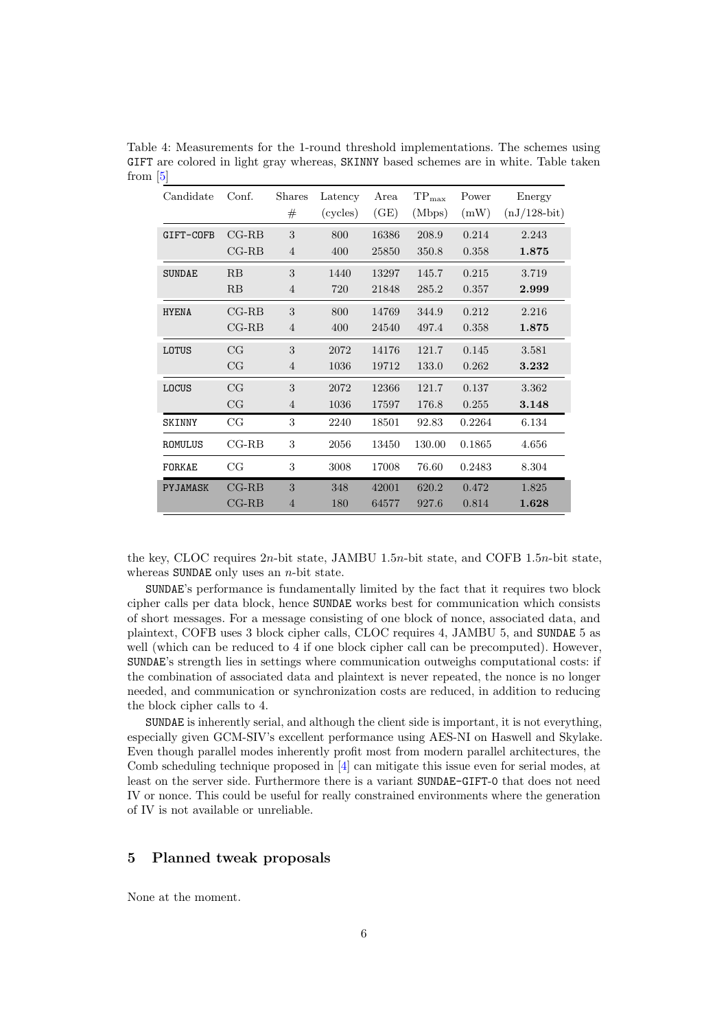| Candidate     | Conf.          | <b>Shares</b>  | Latency  | Area  | $\mbox{TP}_\text{max}$ | Power  | Energy         |
|---------------|----------------|----------------|----------|-------|------------------------|--------|----------------|
|               |                | #              | (cycles) | (GE)  | (Mbps)                 | (mW)   | $(nJ/128-bit)$ |
| GIFT-COFB     | $CG-RB$        | 3              | 800      | 16386 | 208.9                  | 0.214  | 2.243          |
|               | $CG-RB$        | $\overline{4}$ | 400      | 25850 | 350.8                  | 0.358  | 1.875          |
| <b>SUNDAE</b> | RB             | 3              | 1440     | 13297 | 145.7                  | 0.215  | 3.719          |
|               | RB             | 4              | 720      | 21848 | 285.2                  | 0.357  | 2.999          |
| <b>HYENA</b>  | $CG-RB$        | 3              | 800      | 14769 | 344.9                  | 0.212  | 2.216          |
|               | $_{\rm CG-RB}$ | $\overline{4}$ | 400      | 24540 | 497.4                  | 0.358  | 1.875          |
| LOTUS         | CG             | 3              | 2072     | 14176 | 121.7                  | 0.145  | 3.581          |
|               | CG             | $\overline{4}$ | 1036     | 19712 | 133.0                  | 0.262  | 3.232          |
| LOCUS         | CG             | 3              | 2072     | 12366 | 121.7                  | 0.137  | 3.362          |
|               | CG             | 4              | 1036     | 17597 | 176.8                  | 0.255  | 3.148          |
| <b>SKINNY</b> | $_{\rm CG}$    | 3              | 2240     | 18501 | 92.83                  | 0.2264 | 6.134          |
| ROMULUS       | $_{\rm CG-RB}$ | 3              | 2056     | 13450 | 130.00                 | 0.1865 | 4.656          |
| FORKAE        | CG             | 3              | 3008     | 17008 | 76.60                  | 0.2483 | 8.304          |
| PYJAMASK      | $_{\rm CG-RB}$ | 3              | 348      | 42001 | 620.2                  | 0.472  | 1.825          |
|               | $_{\rm CG-RB}$ | $\overline{4}$ | 180      | 64577 | 927.6                  | 0.814  | 1.628          |

<span id="page-5-0"></span>Table 4: Measurements for the 1-round threshold implementations. The schemes using GIFT are colored in light gray whereas, SKINNY based schemes are in white. Table taken from [\[5\]](#page-7-0)

the key, CLOC requires 2n-bit state, JAMBU 1.5n-bit state, and COFB 1.5n-bit state, whereas SUNDAE only uses an  $n$ -bit state.

SUNDAE's performance is fundamentally limited by the fact that it requires two block cipher calls per data block, hence SUNDAE works best for communication which consists of short messages. For a message consisting of one block of nonce, associated data, and plaintext, COFB uses 3 block cipher calls, CLOC requires 4, JAMBU 5, and SUNDAE 5 as well (which can be reduced to 4 if one block cipher call can be precomputed). However, SUNDAE's strength lies in settings where communication outweighs computational costs: if the combination of associated data and plaintext is never repeated, the nonce is no longer needed, and communication or synchronization costs are reduced, in addition to reducing the block cipher calls to 4.

SUNDAE is inherently serial, and although the client side is important, it is not everything, especially given GCM-SIV's excellent performance using AES-NI on Haswell and Skylake. Even though parallel modes inherently profit most from modern parallel architectures, the Comb scheduling technique proposed in [\[4\]](#page-7-9) can mitigate this issue even for serial modes, at least on the server side. Furthermore there is a variant SUNDAE-GIFT-0 that does not need IV or nonce. This could be useful for really constrained environments where the generation of IV is not available or unreliable.

#### 5 Planned tweak proposals

None at the moment.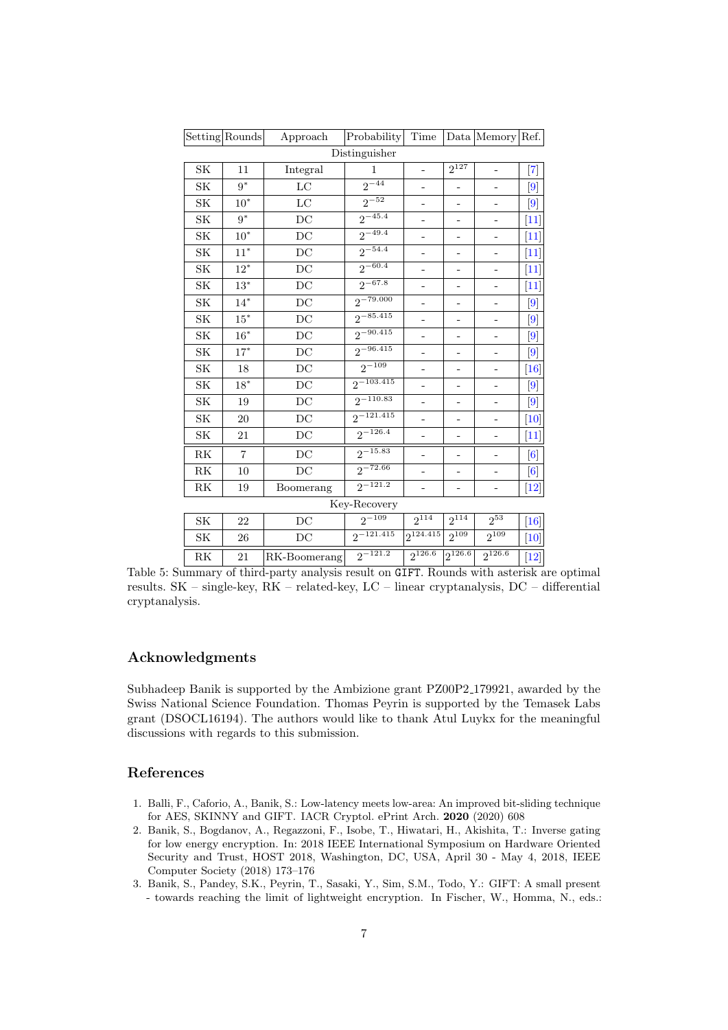<span id="page-6-3"></span>

|                        | Setting Rounds | Approach     | Probability              | Time                     |                          | Data Memory Ref.    |                                                                                                                                                                                                                                                                                                                    |  |  |  |
|------------------------|----------------|--------------|--------------------------|--------------------------|--------------------------|---------------------|--------------------------------------------------------------------------------------------------------------------------------------------------------------------------------------------------------------------------------------------------------------------------------------------------------------------|--|--|--|
| Distinguisher          |                |              |                          |                          |                          |                     |                                                                                                                                                                                                                                                                                                                    |  |  |  |
| <b>SK</b>              | 11             | Integral     | 1                        | ÷,                       | $2^{127}$                | ÷                   | $\left[ 7\right]$                                                                                                                                                                                                                                                                                                  |  |  |  |
| SK                     | $9*$           | $_{\rm LC}$  | $2^{-44}$                | ÷,                       | $\overline{\phantom{m}}$ | -                   | [9]                                                                                                                                                                                                                                                                                                                |  |  |  |
| SK                     | $10^*$         | $_{\rm LC}$  | $2^{-52}$                | $\overline{\phantom{0}}$ | -                        | -                   | $\left[9\right]$                                                                                                                                                                                                                                                                                                   |  |  |  |
| SK                     | $9^*$          | DC           | $2^{-45.4}$              | ÷,                       | $\overline{\phantom{0}}$ |                     | $[11]$                                                                                                                                                                                                                                                                                                             |  |  |  |
| SK                     | $10^*$         | DC           | $\frac{1}{2^{-49.4}}$    | $\overline{\phantom{0}}$ |                          | -                   | $[11]$                                                                                                                                                                                                                                                                                                             |  |  |  |
| SK                     | $11*$          | DC           | $2^{-54.4}$              | $\overline{\phantom{0}}$ | ÷                        | ۰                   | $[11]$                                                                                                                                                                                                                                                                                                             |  |  |  |
| <b>SK</b>              | $12^*$         | DC           | $2^{-60.4}$              | $\overline{\phantom{m}}$ | $\overline{a}$           | -                   | $[11]$                                                                                                                                                                                                                                                                                                             |  |  |  |
| <b>SK</b>              | $13^{\ast}$    | DC           | $2^{-67.8}$              | -                        | -                        | ۰                   | $[11]$                                                                                                                                                                                                                                                                                                             |  |  |  |
| SK                     | $14*$          | DC           | $2^{-79.000}$            | ÷,                       | -                        | ۰                   | $\left[9\right]$                                                                                                                                                                                                                                                                                                   |  |  |  |
| SK                     | $15^{\ast}$    | DC           | $2^{-85.415}$            |                          | -                        |                     | $[9] % \begin{center} \includegraphics[width=\linewidth]{imagesSupplemental/Imers.png} \end{center} % \vspace{-1em} \caption{The figure shows the results of the estimators in the image. The left is the same time, the right is the same time.} \label{fig:limall}$                                              |  |  |  |
| SK                     | $16^{\ast}$    | DC           | $2^{-90.415}$            | ÷,                       | -                        | -                   | $[9] % \begin{center} \includegraphics[width=\linewidth]{imagesSupplemental/Imers.png} \end{center} % \vspace{-1em} \caption{The figure shows the results of the estimators in the image. The left is the same time, the right is the same time.} \label{fig:limall}$                                              |  |  |  |
| SK                     | $17*$          | DC           | $2^{-96.415}$            | $\overline{\phantom{0}}$ | ٠                        | $\overline{a}$      | $\left[9\right]$                                                                                                                                                                                                                                                                                                   |  |  |  |
| $\rm SK$               | 18             | DC           | $2^{-109}$               | -                        | -                        | ۰                   | [16]                                                                                                                                                                                                                                                                                                               |  |  |  |
| SK                     | $18*$          | DC           | $2^{-103.415}$           | -                        |                          | ۰                   | [9]                                                                                                                                                                                                                                                                                                                |  |  |  |
| SK                     | 19             | DC           | $2^{-110.83}$            | -                        | -                        | ۰                   | $\left[9\right]$                                                                                                                                                                                                                                                                                                   |  |  |  |
| SK                     | 20             | DC           | $\frac{1}{2^{-121.415}}$ |                          | -                        |                     | $[10]$                                                                                                                                                                                                                                                                                                             |  |  |  |
| SK                     | 21             | DC           | $\frac{1}{2^{-126.4}}$   | ÷,                       |                          | $\overline{a}$      | $[11]$                                                                                                                                                                                                                                                                                                             |  |  |  |
| RK                     | $\overline{7}$ | DC           | $2^{-15.83}$             | -                        | $\overline{a}$           | -                   | [6]                                                                                                                                                                                                                                                                                                                |  |  |  |
| RK                     | 10             | DC           | $2^{-72.66}$             |                          |                          |                     | [6]                                                                                                                                                                                                                                                                                                                |  |  |  |
| $\mathbf{R}\mathbf{K}$ | 19             | Boomerang    | $2^{-121.2}$             | -                        |                          | -                   | $[12] % \includegraphics[width=0.9\columnwidth]{figures/fig_1a} \caption{The figure shows the number of times, and the number of times, and the number of times, and the number of times, are indicated with the number of times, and the number of times, are indicated with the number of times.} \label{fig:1}$ |  |  |  |
|                        |                |              | Key-Recovery             |                          |                          |                     |                                                                                                                                                                                                                                                                                                                    |  |  |  |
| SK                     | 22             | DC           | $2^{-109}$               | $2^{114}$                | $2^{\overline{114}}$     | $2^{53}$            | $[16]$                                                                                                                                                                                                                                                                                                             |  |  |  |
| SK                     | 26             | DC           | $2^{-121.415}$           | $2^{\overline{124.415}}$ | $2^{109}$                | $\frac{1}{2^{109}}$ | $\vert 10 \vert$                                                                                                                                                                                                                                                                                                   |  |  |  |
| RK                     | 21             | RK-Boomerang | $2^{-121.2}$             | $2^{126.6}$              | $2^{126.6}$              | $2^{126.6}$         | $[12]$                                                                                                                                                                                                                                                                                                             |  |  |  |

Table 5: Summary of third-party analysis result on GIFT. Rounds with asterisk are optimal results. SK – single-key, RK – related-key, LC – linear cryptanalysis, DC – differential cryptanalysis.

#### Acknowledgments

Subhadeep Banik is supported by the Ambizione grant PZ00P2 179921, awarded by the Swiss National Science Foundation. Thomas Peyrin is supported by the Temasek Labs grant (DSOCL16194). The authors would like to thank Atul Luykx for the meaningful discussions with regards to this submission.

## References

- <span id="page-6-0"></span>1. Balli, F., Caforio, A., Banik, S.: Low-latency meets low-area: An improved bit-sliding technique for AES, SKINNY and GIFT. IACR Cryptol. ePrint Arch. 2020 (2020) 608
- <span id="page-6-2"></span>2. Banik, S., Bogdanov, A., Regazzoni, F., Isobe, T., Hiwatari, H., Akishita, T.: Inverse gating for low energy encryption. In: 2018 IEEE International Symposium on Hardware Oriented Security and Trust, HOST 2018, Washington, DC, USA, April 30 - May 4, 2018, IEEE Computer Society (2018) 173–176
- <span id="page-6-1"></span>3. Banik, S., Pandey, S.K., Peyrin, T., Sasaki, Y., Sim, S.M., Todo, Y.: GIFT: A small present - towards reaching the limit of lightweight encryption. In Fischer, W., Homma, N., eds.: